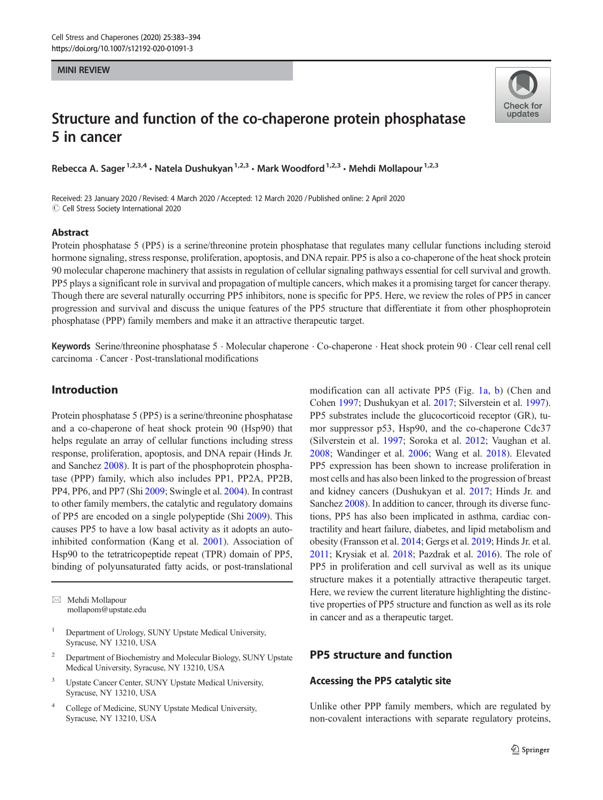#### MINI REVIEW

# Structure and function of the co-chaperone protein phosphatase 5 in cancer

Rebecca A. Sager<sup>1,2,3,4</sup> • Natela Dushukyan<sup>1,2,3</sup> • Mark Woodford<sup>1,2,3</sup> • Mehdi Mollapour<sup>1,2,3</sup>

Received: 23 January 2020 / Revised: 4 March 2020 /Accepted: 12 March 2020 /Published online: 2 April 2020  $\odot$  Cell Stress Society International 2020

#### Abstract

Check for undates

Protein phosphatase 5 (PP5) is a serine/threonine protein phosphatase that regulates many cellular functions including steroid hormone signaling, stress response, proliferation, apoptosis, and DNA repair. PP5 is also a co-chaperone of the heat shock protein 90 molecular chaperone machinery that assists in regulation of cellular signaling pathways essential for cell survival and growth. PP5 plays a significant role in survival and propagation of multiple cancers, which makes it a promising target for cancer therapy. Though there are several naturally occurring PP5 inhibitors, none is specific for PP5. Here, we review the roles of PP5 in cancer progression and survival and discuss the unique features of the PP5 structure that differentiate it from other phosphoprotein phosphatase (PPP) family members and make it an attractive therapeutic target.

Keywords Serine/threonine phosphatase 5 . Molecular chaperone . Co-chaperone . Heat shock protein 90 . Clear cell renal cell carcinoma . Cancer . Post-translational modifications

## Introduction

Protein phosphatase 5 (PP5) is a serine/threonine phosphatase and a co-chaperone of heat shock protein 90 (Hsp90) that helps regulate an array of cellular functions including stress response, proliferation, apoptosis, and DNA repair (Hinds Jr. and Sanchez [2008](#page-9-0)). It is part of the phosphoprotein phosphatase (PPP) family, which also includes PP1, PP2A, PP2B, PP4, PP6, and PP7 (Shi [2009;](#page-10-0) Swingle et al. [2004\)](#page-11-0). In contrast to other family members, the catalytic and regulatory domains of PP5 are encoded on a single polypeptide (Shi [2009](#page-10-0)). This causes PP5 to have a low basal activity as it adopts an autoinhibited conformation (Kang et al. [2001\)](#page-10-0). Association of Hsp90 to the tetratricopeptide repeat (TPR) domain of PP5, binding of polyunsaturated fatty acids, or post-translational

 $\boxtimes$  Mehdi Mollapour [mollapom@upstate.edu](mailto:mollapom@upstate.edu)

- <sup>1</sup> Department of Urology, SUNY Upstate Medical University, Syracuse, NY 13210, USA
- <sup>2</sup> Department of Biochemistry and Molecular Biology, SUNY Upstate Medical University, Syracuse, NY 13210, USA
- <sup>3</sup> Upstate Cancer Center, SUNY Upstate Medical University, Syracuse, NY 13210, USA
- <sup>4</sup> College of Medicine, SUNY Upstate Medical University, Syracuse, NY 13210, USA

modification can all activate PP5 (Fig. [1a, b\)](#page-1-0) (Chen and Cohen [1997](#page-9-0); Dushukyan et al. [2017](#page-9-0); Silverstein et al. [1997\)](#page-10-0). PP5 substrates include the glucocorticoid receptor (GR), tumor suppressor p53, Hsp90, and the co-chaperone Cdc37 (Silverstein et al. [1997](#page-10-0); Soroka et al. [2012;](#page-10-0) Vaughan et al. [2008](#page-11-0); Wandinger et al. [2006](#page-11-0); Wang et al. [2018](#page-11-0)). Elevated PP5 expression has been shown to increase proliferation in most cells and has also been linked to the progression of breast and kidney cancers (Dushukyan et al. [2017;](#page-9-0) Hinds Jr. and Sanchez [2008](#page-9-0)). In addition to cancer, through its diverse functions, PP5 has also been implicated in asthma, cardiac contractility and heart failure, diabetes, and lipid metabolism and obesity (Fransson et al. [2014;](#page-9-0) Gergs et al. [2019](#page-9-0); Hinds Jr. et al. [2011](#page-9-0); Krysiak et al. [2018;](#page-10-0) Pazdrak et al. [2016\)](#page-10-0). The role of PP5 in proliferation and cell survival as well as its unique structure makes it a potentially attractive therapeutic target. Here, we review the current literature highlighting the distinctive properties of PP5 structure and function as well as its role in cancer and as a therapeutic target.

## PP5 structure and function

## Accessing the PP5 catalytic site

Unlike other PPP family members, which are regulated by non-covalent interactions with separate regulatory proteins,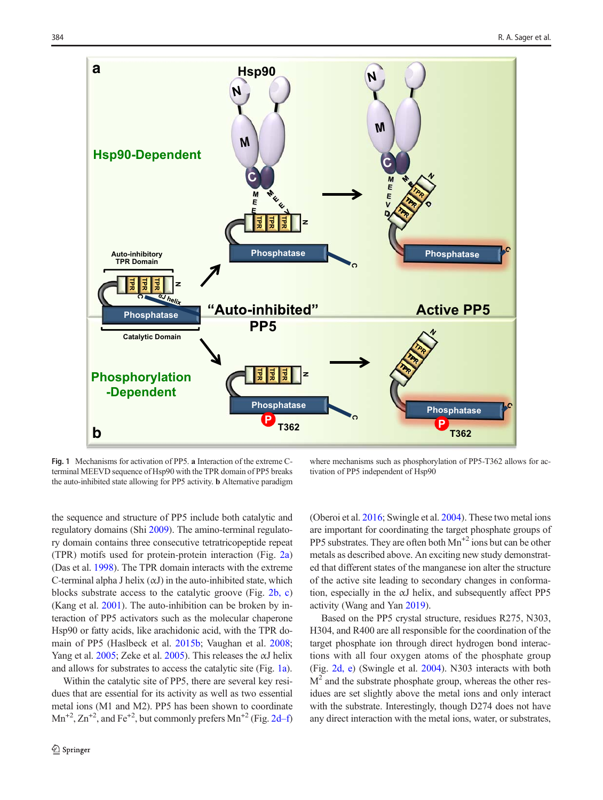<span id="page-1-0"></span>

Fig. 1 Mechanisms for activation of PP5. a Interaction of the extreme Cterminal MEEVD sequence of Hsp90 with the TPR domain of PP5 breaks the auto-inhibited state allowing for PP5 activity. b Alternative paradigm

where mechanisms such as phosphorylation of PP5-T362 allows for activation of PP5 independent of Hsp90

the sequence and structure of PP5 include both catalytic and regulatory domains (Shi [2009\)](#page-10-0). The amino-terminal regulatory domain contains three consecutive tetratricopeptide repeat (TPR) motifs used for protein-protein interaction (Fig. [2a\)](#page-2-0) (Das et al. [1998](#page-9-0)). The TPR domain interacts with the extreme C-terminal alpha J helix  $(\alpha J)$  in the auto-inhibited state, which blocks substrate access to the catalytic groove (Fig. [2b, c\)](#page-2-0) (Kang et al. [2001](#page-10-0)). The auto-inhibition can be broken by interaction of PP5 activators such as the molecular chaperone Hsp90 or fatty acids, like arachidonic acid, with the TPR domain of PP5 (Haslbeck et al. [2015b;](#page-9-0) Vaughan et al. [2008](#page-11-0); Yang et al.  $2005$ ; Zeke et al.  $2005$ ). This releases the  $\alpha$ J helix and allows for substrates to access the catalytic site (Fig. 1a).

Within the catalytic site of PP5, there are several key residues that are essential for its activity as well as two essential metal ions (M1 and M2). PP5 has been shown to coordinate  $Mn^{+2}$ ,  $Zn^{+2}$ , and Fe<sup>+2</sup>, but commonly prefers  $Mn^{+2}$  (Fig. [2d](#page-2-0)–f) (Oberoi et al. [2016;](#page-10-0) Swingle et al. [2004\)](#page-11-0). These two metal ions are important for coordinating the target phosphate groups of PP5 substrates. They are often both  $Mn^{2}$  ions but can be other metals as described above. An exciting new study demonstrated that different states of the manganese ion alter the structure of the active site leading to secondary changes in conformation, especially in the αJ helix, and subsequently affect PP5 activity (Wang and Yan [2019](#page-11-0)).

Based on the PP5 crystal structure, residues R275, N303, H304, and R400 are all responsible for the coordination of the target phosphate ion through direct hydrogen bond interactions with all four oxygen atoms of the phosphate group (Fig. [2d, e](#page-2-0)) (Swingle et al. [2004\)](#page-11-0). N303 interacts with both  $M<sup>2</sup>$  and the substrate phosphate group, whereas the other residues are set slightly above the metal ions and only interact with the substrate. Interestingly, though D274 does not have any direct interaction with the metal ions, water, or substrates,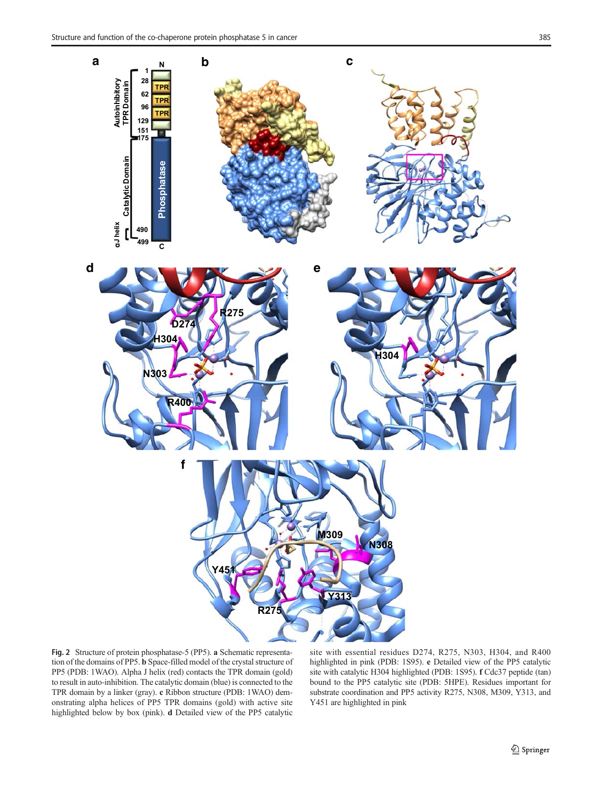<span id="page-2-0"></span>

Fig. 2 Structure of protein phosphatase-5 (PP5). a Schematic representation of the domains of PP5. b Space-filled model of the crystal structure of PP5 (PDB: 1WAO). Alpha J helix (red) contacts the TPR domain (gold) to result in auto-inhibition. The catalytic domain (blue) is connected to the TPR domain by a linker (gray). c Ribbon structure (PDB: 1WAO) demonstrating alpha helices of PP5 TPR domains (gold) with active site highlighted below by box (pink). d Detailed view of the PP5 catalytic

site with essential residues D274, R275, N303, H304, and R400 highlighted in pink (PDB: 1S95). e Detailed view of the PP5 catalytic site with catalytic H304 highlighted (PDB: 1S95). f Cdc37 peptide (tan) bound to the PP5 catalytic site (PDB: 5HPE). Residues important for substrate coordination and PP5 activity R275, N308, M309, Y313, and Y451 are highlighted in pink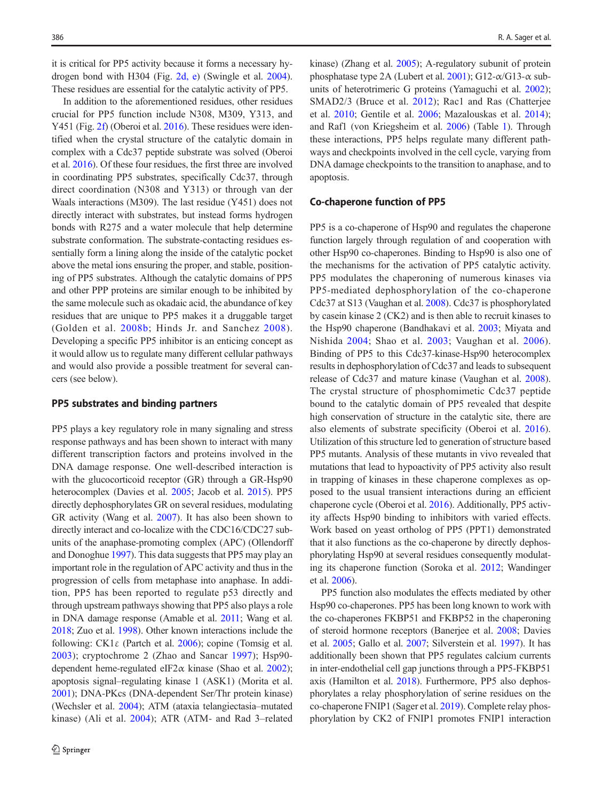it is critical for PP5 activity because it forms a necessary hydrogen bond with H304 (Fig. [2d, e](#page-2-0)) (Swingle et al. [2004](#page-11-0)). These residues are essential for the catalytic activity of PP5.

In addition to the aforementioned residues, other residues crucial for PP5 function include N308, M309, Y313, and Y451 (Fig. [2f\)](#page-2-0) (Oberoi et al. [2016](#page-10-0)). These residues were identified when the crystal structure of the catalytic domain in complex with a Cdc37 peptide substrate was solved (Oberoi et al. [2016](#page-10-0)). Of these four residues, the first three are involved in coordinating PP5 substrates, specifically Cdc37, through direct coordination (N308 and Y313) or through van der Waals interactions (M309). The last residue (Y451) does not directly interact with substrates, but instead forms hydrogen bonds with R275 and a water molecule that help determine substrate conformation. The substrate-contacting residues essentially form a lining along the inside of the catalytic pocket above the metal ions ensuring the proper, and stable, positioning of PP5 substrates. Although the catalytic domains of PP5 and other PPP proteins are similar enough to be inhibited by the same molecule such as okadaic acid, the abundance of key residues that are unique to PP5 makes it a druggable target (Golden et al. [2008b;](#page-9-0) Hinds Jr. and Sanchez [2008\)](#page-9-0). Developing a specific PP5 inhibitor is an enticing concept as it would allow us to regulate many different cellular pathways and would also provide a possible treatment for several cancers (see below).

#### PP5 substrates and binding partners

PP5 plays a key regulatory role in many signaling and stress response pathways and has been shown to interact with many different transcription factors and proteins involved in the DNA damage response. One well-described interaction is with the glucocorticoid receptor (GR) through a GR-Hsp90 heterocomplex (Davies et al. [2005;](#page-9-0) Jacob et al. [2015](#page-10-0)). PP5 directly dephosphorylates GR on several residues, modulating GR activity (Wang et al. [2007\)](#page-11-0). It has also been shown to directly interact and co-localize with the CDC16/CDC27 subunits of the anaphase-promoting complex (APC) (Ollendorff and Donoghue [1997](#page-10-0)). This data suggests that PP5 may play an important role in the regulation of APC activity and thus in the progression of cells from metaphase into anaphase. In addition, PP5 has been reported to regulate p53 directly and through upstream pathways showing that PP5 also plays a role in DNA damage response (Amable et al. [2011](#page-9-0); Wang et al. [2018;](#page-11-0) Zuo et al. [1998\)](#page-11-0). Other known interactions include the following: CK1 $\varepsilon$  (Partch et al. [2006](#page-10-0)); copine (Tomsig et al. [2003](#page-11-0)); cryptochrome 2 (Zhao and Sancar [1997](#page-11-0)); Hsp90 dependent heme-regulated eIF2 $\alpha$  kinase (Shao et al. [2002](#page-10-0)); apoptosis signal–regulating kinase 1 (ASK1) (Morita et al. [2001\)](#page-10-0); DNA-PKcs (DNA-dependent Ser/Thr protein kinase) (Wechsler et al. [2004\)](#page-11-0); ATM (ataxia telangiectasia–mutated kinase) (Ali et al. [2004\)](#page-9-0); ATR (ATM- and Rad 3–related

kinase) (Zhang et al. [2005](#page-11-0)); A-regulatory subunit of protein phosphatase type 2A (Lubert et al. [2001](#page-10-0)); G12- $\alpha$ /G13- $\alpha$  subunits of heterotrimeric G proteins (Yamaguchi et al. [2002](#page-11-0)); SMAD2/3 (Bruce et al. [2012\)](#page-9-0); Rac1 and Ras (Chatterjee et al. [2010](#page-9-0); Gentile et al. [2006;](#page-9-0) Mazalouskas et al. [2014](#page-10-0)); and Raf1 (von Kriegsheim et al. [2006\)](#page-11-0) (Table [1](#page-4-0)). Through these interactions, PP5 helps regulate many different pathways and checkpoints involved in the cell cycle, varying from DNA damage checkpoints to the transition to anaphase, and to apoptosis.

#### Co-chaperone function of PP5

PP5 is a co-chaperone of Hsp90 and regulates the chaperone function largely through regulation of and cooperation with other Hsp90 co-chaperones. Binding to Hsp90 is also one of the mechanisms for the activation of PP5 catalytic activity. PP5 modulates the chaperoning of numerous kinases via PP5-mediated dephosphorylation of the co-chaperone Cdc37 at S13 (Vaughan et al. [2008](#page-11-0)). Cdc37 is phosphorylated by casein kinase 2 (CK2) and is then able to recruit kinases to the Hsp90 chaperone (Bandhakavi et al. [2003](#page-9-0); Miyata and Nishida [2004;](#page-10-0) Shao et al. [2003](#page-10-0); Vaughan et al. [2006](#page-11-0)). Binding of PP5 to this Cdc37-kinase-Hsp90 heterocomplex results in dephosphorylation of Cdc37 and leads to subsequent release of Cdc37 and mature kinase (Vaughan et al. [2008\)](#page-11-0). The crystal structure of phosphomimetic Cdc37 peptide bound to the catalytic domain of PP5 revealed that despite high conservation of structure in the catalytic site, there are also elements of substrate specificity (Oberoi et al. [2016\)](#page-10-0). Utilization of this structure led to generation of structure based PP5 mutants. Analysis of these mutants in vivo revealed that mutations that lead to hypoactivity of PP5 activity also result in trapping of kinases in these chaperone complexes as opposed to the usual transient interactions during an efficient chaperone cycle (Oberoi et al. [2016\)](#page-10-0). Additionally, PP5 activity affects Hsp90 binding to inhibitors with varied effects. Work based on yeast ortholog of PP5 (PPT1) demonstrated that it also functions as the co-chaperone by directly dephosphorylating Hsp90 at several residues consequently modulating its chaperone function (Soroka et al. [2012;](#page-10-0) Wandinger et al. [2006](#page-11-0)).

PP5 function also modulates the effects mediated by other Hsp90 co-chaperones. PP5 has been long known to work with the co-chaperones FKBP51 and FKBP52 in the chaperoning of steroid hormone receptors (Banerjee et al. [2008;](#page-9-0) Davies et al. [2005](#page-9-0); Gallo et al. [2007](#page-9-0); Silverstein et al. [1997](#page-10-0)). It has additionally been shown that PP5 regulates calcium currents in inter-endothelial cell gap junctions through a PP5-FKBP51 axis (Hamilton et al. [2018\)](#page-9-0). Furthermore, PP5 also dephosphorylates a relay phosphorylation of serine residues on the co-chaperone FNIP1 (Sager et al. [2019\)](#page-10-0). Complete relay phosphorylation by CK2 of FNIP1 promotes FNIP1 interaction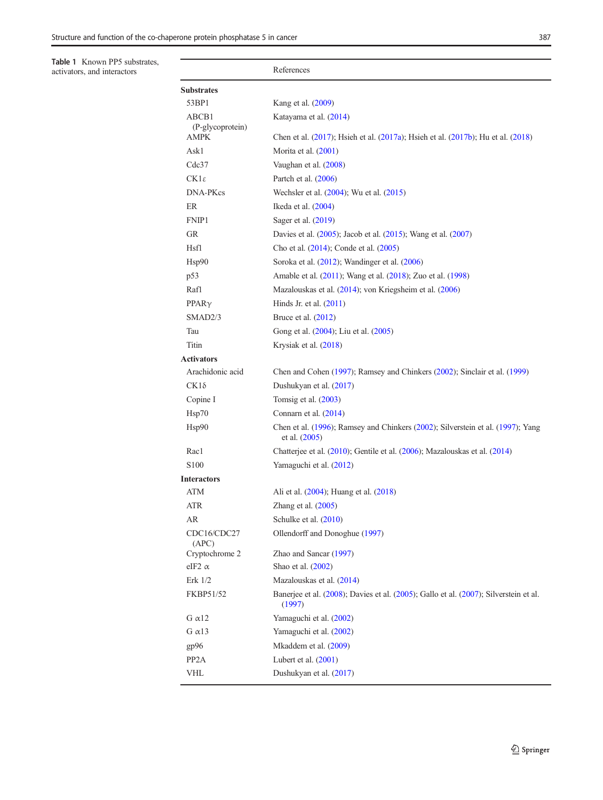<span id="page-4-0"></span>Table 1 Known PP5 substrates,

## activators, and interactors and interactors References **Substrates** 53BP1 Kang et al. ([2009](#page-10-0)) ABCB1 (P-glycoprotein) Katayama et al. [\(2014\)](#page-10-0) AMPK Chen et al. [\(2017\)](#page-9-0); Hsieh et al. [\(2017a](#page-9-0)); Hsieh et al. ([2017b](#page-9-0)); Hu et al. ([2018](#page-10-0)) Ask1 Morita et al. [\(2001\)](#page-10-0) Cdc37 Vaughan et al. ([2008](#page-11-0)) CK1 $\varepsilon$  Partch et al. ([2006](#page-10-0)) DNA-PKcs Wechsler et al. [\(2004\)](#page-11-0); Wu et al. ([2015](#page-11-0)) ER Ikeda et al. [\(2004\)](#page-10-0) FNIP1 Sager et al. ([2019](#page-10-0)) GR Davies et al. ([2005](#page-9-0)); Jacob et al. [\(2015\)](#page-10-0); Wang et al. [\(2007\)](#page-11-0) Hsf1 Cho et al. ([2014](#page-9-0)); Conde et al. [\(2005\)](#page-9-0) Hsp90 Soroka et al. [\(2012\)](#page-10-0); Wandinger et al. ([2006](#page-11-0)) p53 Amable et al. [\(2011](#page-9-0)); Wang et al. ([2018](#page-11-0)); Zuo et al. ([1998](#page-11-0)) Raf1 Mazalouskas et al. ([2014](#page-10-0)); von Kriegsheim et al. [\(2006\)](#page-11-0) PPAR $\gamma$  Hinds Jr. et al. [\(2011\)](#page-9-0) SMAD2/3 Bruce et al. [\(2012](#page-9-0)) Tau Gong et al. [\(2004\)](#page-9-0); Liu et al. ([2005](#page-10-0)) Titin Krysiak et al. ([2018](#page-10-0)) Activators Arachidonic acid Chen and Cohen [\(1997\)](#page-9-0); Ramsey and Chinkers [\(2002\)](#page-10-0); Sinclair et al. [\(1999\)](#page-10-0)  $CK1\delta$  Dushukyan et al. ([2017](#page-9-0)) Copine I Tomsig et al.  $(2003)$  $(2003)$  $(2003)$ Hsp70 Connarn et al. [\(2014\)](#page-9-0) Hsp90 Chen et al. [\(1996\)](#page-9-0); Ramsey and Chinkers [\(2002](#page-10-0)); Silverstein et al. [\(1997](#page-10-0)); Yang et al. [\(2005\)](#page-11-0) Rac1 Chatterjee et al. [\(2010\)](#page-9-0); Gentile et al. [\(2006\)](#page-9-0); Mazalouskas et al. ([2014](#page-10-0)) S100 Yamaguchi et al. [\(2012\)](#page-11-0) **Interactors** ATM Ali et al. [\(2004\)](#page-9-0); Huang et al. [\(2018\)](#page-10-0) ATR Zhang et al.  $(2005)$ AR Schulke et al. [\(2010\)](#page-10-0) CDC16/CDC27 (APC) Ollendorff and Donoghue ([1997](#page-10-0)) Cryptochrome 2 Zhao and Sancar [\(1997\)](#page-11-0) eIF2  $\alpha$  Shao et al. [\(2002\)](#page-10-0) Erk 1/2 Mazalouskas et al. ([2014](#page-10-0)) FKBP51/52 Banerjee et al. [\(2008](#page-9-0)); Davies et al. [\(2005\)](#page-9-0); Gallo et al. [\(2007\)](#page-9-0); Silverstein et al. [\(1997\)](#page-10-0) G  $\alpha$ 12 Yamaguchi et al. [\(2002\)](#page-11-0) G  $\alpha$ 13 Yamaguchi et al. [\(2002\)](#page-11-0) gp96 Mkaddem et al. [\(2009\)](#page-10-0) PP2A Lubert et al. ([2001](#page-10-0)) VHL Dushukyan et al. ([2017](#page-9-0))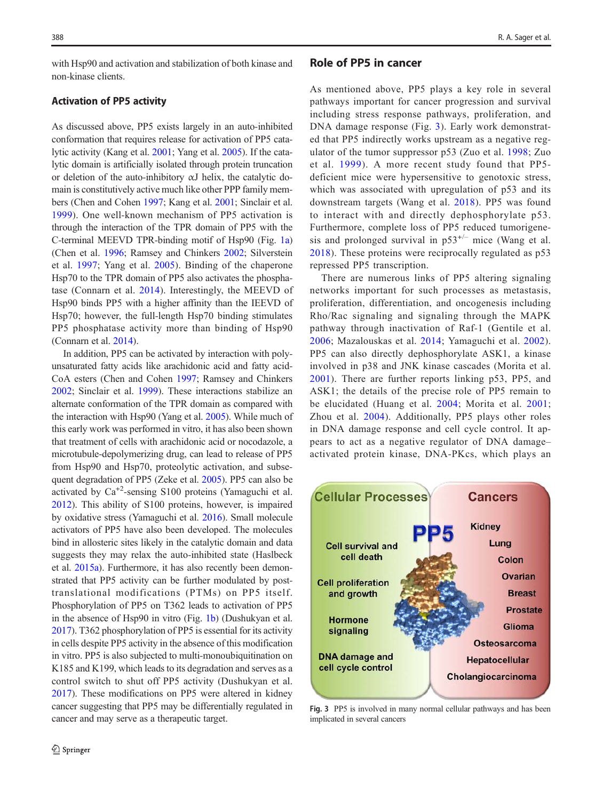<span id="page-5-0"></span>with Hsp90 and activation and stabilization of both kinase and non-kinase clients.

### Activation of PP5 activity

As discussed above, PP5 exists largely in an auto-inhibited conformation that requires release for activation of PP5 catalytic activity (Kang et al. [2001;](#page-10-0) Yang et al. [2005](#page-11-0)). If the catalytic domain is artificially isolated through protein truncation or deletion of the auto-inhibitory αJ helix, the catalytic domain is constitutively active much like other PPP family members (Chen and Cohen [1997](#page-9-0); Kang et al. [2001;](#page-10-0) Sinclair et al. [1999\)](#page-10-0). One well-known mechanism of PP5 activation is through the interaction of the TPR domain of PP5 with the C-terminal MEEVD TPR-binding motif of Hsp90 (Fig. [1a\)](#page-1-0) (Chen et al. [1996](#page-9-0); Ramsey and Chinkers [2002](#page-10-0); Silverstein et al. [1997](#page-10-0); Yang et al. [2005\)](#page-11-0). Binding of the chaperone Hsp70 to the TPR domain of PP5 also activates the phosphatase (Connarn et al. [2014](#page-9-0)). Interestingly, the MEEVD of Hsp90 binds PP5 with a higher affinity than the IEEVD of Hsp70; however, the full-length Hsp70 binding stimulates PP5 phosphatase activity more than binding of Hsp90 (Connarn et al. [2014](#page-9-0)).

In addition, PP5 can be activated by interaction with polyunsaturated fatty acids like arachidonic acid and fatty acid-CoA esters (Chen and Cohen [1997](#page-9-0); Ramsey and Chinkers [2002](#page-10-0); Sinclair et al. [1999](#page-10-0)). These interactions stabilize an alternate conformation of the TPR domain as compared with the interaction with Hsp90 (Yang et al. [2005\)](#page-11-0). While much of this early work was performed in vitro, it has also been shown that treatment of cells with arachidonic acid or nocodazole, a microtubule-depolymerizing drug, can lead to release of PP5 from Hsp90 and Hsp70, proteolytic activation, and subsequent degradation of PP5 (Zeke et al. [2005\)](#page-11-0). PP5 can also be activated by  $Ca^{+2}$ -sensing S100 proteins (Yamaguchi et al. [2012\)](#page-11-0). This ability of S100 proteins, however, is impaired by oxidative stress (Yamaguchi et al. [2016](#page-11-0)). Small molecule activators of PP5 have also been developed. The molecules bind in allosteric sites likely in the catalytic domain and data suggests they may relax the auto-inhibited state (Haslbeck et al. [2015a\)](#page-9-0). Furthermore, it has also recently been demonstrated that PP5 activity can be further modulated by posttranslational modifications (PTMs) on PP5 itself. Phosphorylation of PP5 on T362 leads to activation of PP5 in the absence of Hsp90 in vitro (Fig. [1b\)](#page-1-0) (Dushukyan et al. [2017\)](#page-9-0). T362 phosphorylation of PP5 is essential for its activity in cells despite PP5 activity in the absence of this modification in vitro. PP5 is also subjected to multi-monoubiquitination on K185 and K199, which leads to its degradation and serves as a control switch to shut off PP5 activity (Dushukyan et al. [2017\)](#page-9-0). These modifications on PP5 were altered in kidney cancer suggesting that PP5 may be differentially regulated in cancer and may serve as a therapeutic target.

## Role of PP5 in cancer

As mentioned above, PP5 plays a key role in several pathways important for cancer progression and survival including stress response pathways, proliferation, and DNA damage response (Fig. 3). Early work demonstrated that PP5 indirectly works upstream as a negative regulator of the tumor suppressor p53 (Zuo et al. [1998;](#page-11-0) Zuo et al. [1999\)](#page-11-0). A more recent study found that PP5 deficient mice were hypersensitive to genotoxic stress, which was associated with upregulation of p53 and its downstream targets (Wang et al. [2018\)](#page-11-0). PP5 was found to interact with and directly dephosphorylate p53. Furthermore, complete loss of PP5 reduced tumorigenesis and prolonged survival in  $p53^{+/-}$  mice (Wang et al. [2018\)](#page-11-0). These proteins were reciprocally regulated as p53 repressed PP5 transcription.

There are numerous links of PP5 altering signaling networks important for such processes as metastasis, proliferation, differentiation, and oncogenesis including Rho/Rac signaling and signaling through the MAPK pathway through inactivation of Raf-1 (Gentile et al. [2006;](#page-9-0) Mazalouskas et al. [2014](#page-10-0); Yamaguchi et al. [2002](#page-11-0)). PP5 can also directly dephosphorylate ASK1, a kinase involved in p38 and JNK kinase cascades (Morita et al. [2001\)](#page-10-0). There are further reports linking p53, PP5, and ASK1; the details of the precise role of PP5 remain to be elucidated (Huang et al. [2004;](#page-10-0) Morita et al. [2001;](#page-10-0) Zhou et al. [2004](#page-11-0)). Additionally, PP5 plays other roles in DNA damage response and cell cycle control. It appears to act as a negative regulator of DNA damage– activated protein kinase, DNA-PKcs, which plays an



Fig. 3 PP5 is involved in many normal cellular pathways and has been implicated in several cancers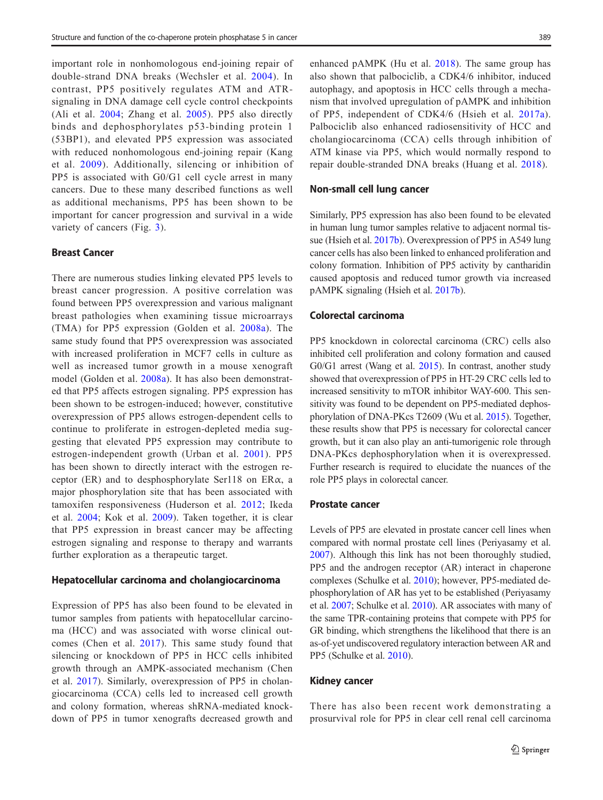important role in nonhomologous end-joining repair of double-strand DNA breaks (Wechsler et al. [2004\)](#page-11-0). In contrast, PP5 positively regulates ATM and ATRsignaling in DNA damage cell cycle control checkpoints (Ali et al. [2004](#page-9-0); Zhang et al. [2005\)](#page-11-0). PP5 also directly binds and dephosphorylates p53-binding protein 1 (53BP1), and elevated PP5 expression was associated with reduced nonhomologous end-joining repair (Kang et al. [2009](#page-10-0)). Additionally, silencing or inhibition of PP5 is associated with G0/G1 cell cycle arrest in many cancers. Due to these many described functions as well as additional mechanisms, PP5 has been shown to be important for cancer progression and survival in a wide variety of cancers (Fig. [3](#page-5-0)).

## Breast Cancer

There are numerous studies linking elevated PP5 levels to breast cancer progression. A positive correlation was found between PP5 overexpression and various malignant breast pathologies when examining tissue microarrays (TMA) for PP5 expression (Golden et al. [2008a\)](#page-9-0). The same study found that PP5 overexpression was associated with increased proliferation in MCF7 cells in culture as well as increased tumor growth in a mouse xenograft model (Golden et al. [2008a](#page-9-0)). It has also been demonstrated that PP5 affects estrogen signaling. PP5 expression has been shown to be estrogen-induced; however, constitutive overexpression of PP5 allows estrogen-dependent cells to continue to proliferate in estrogen-depleted media suggesting that elevated PP5 expression may contribute to estrogen-independent growth (Urban et al. [2001\)](#page-11-0). PP5 has been shown to directly interact with the estrogen receptor (ER) and to desphosphorylate Ser118 on ER $\alpha$ , a major phosphorylation site that has been associated with tamoxifen responsiveness (Huderson et al. [2012](#page-10-0); Ikeda et al. [2004;](#page-10-0) Kok et al. [2009\)](#page-10-0). Taken together, it is clear that PP5 expression in breast cancer may be affecting estrogen signaling and response to therapy and warrants further exploration as a therapeutic target.

#### Hepatocellular carcinoma and cholangiocarcinoma

Expression of PP5 has also been found to be elevated in tumor samples from patients with hepatocellular carcinoma (HCC) and was associated with worse clinical outcomes (Chen et al. [2017\)](#page-9-0). This same study found that silencing or knockdown of PP5 in HCC cells inhibited growth through an AMPK-associated mechanism (Chen et al. [2017](#page-9-0)). Similarly, overexpression of PP5 in cholangiocarcinoma (CCA) cells led to increased cell growth and colony formation, whereas shRNA-mediated knockdown of PP5 in tumor xenografts decreased growth and enhanced pAMPK (Hu et al. [2018](#page-10-0)). The same group has also shown that palbociclib, a CDK4/6 inhibitor, induced autophagy, and apoptosis in HCC cells through a mechanism that involved upregulation of pAMPK and inhibition of PP5, independent of CDK4/6 (Hsieh et al. [2017a](#page-9-0)). Palbociclib also enhanced radiosensitivity of HCC and cholangiocarcinoma (CCA) cells through inhibition of ATM kinase via PP5, which would normally respond to repair double-stranded DNA breaks (Huang et al. [2018](#page-10-0)).

#### Non-small cell lung cancer

Similarly, PP5 expression has also been found to be elevated in human lung tumor samples relative to adjacent normal tissue (Hsieh et al. [2017b](#page-9-0)). Overexpression of PP5 in A549 lung cancer cells has also been linked to enhanced proliferation and colony formation. Inhibition of PP5 activity by cantharidin caused apoptosis and reduced tumor growth via increased pAMPK signaling (Hsieh et al. [2017b\)](#page-9-0).

## Colorectal carcinoma

PP5 knockdown in colorectal carcinoma (CRC) cells also inhibited cell proliferation and colony formation and caused G0/G1 arrest (Wang et al. [2015](#page-11-0)). In contrast, another study showed that overexpression of PP5 in HT-29 CRC cells led to increased sensitivity to mTOR inhibitor WAY-600. This sensitivity was found to be dependent on PP5-mediated dephosphorylation of DNA-PKcs T2609 (Wu et al. [2015\)](#page-11-0). Together, these results show that PP5 is necessary for colorectal cancer growth, but it can also play an anti-tumorigenic role through DNA-PKcs dephosphorylation when it is overexpressed. Further research is required to elucidate the nuances of the role PP5 plays in colorectal cancer.

### Prostate cancer

Levels of PP5 are elevated in prostate cancer cell lines when compared with normal prostate cell lines (Periyasamy et al. [2007\)](#page-10-0). Although this link has not been thoroughly studied, PP5 and the androgen receptor (AR) interact in chaperone complexes (Schulke et al. [2010](#page-10-0)); however, PP5-mediated dephosphorylation of AR has yet to be established (Periyasamy et al. [2007](#page-10-0); Schulke et al. [2010\)](#page-10-0). AR associates with many of the same TPR-containing proteins that compete with PP5 for GR binding, which strengthens the likelihood that there is an as-of-yet undiscovered regulatory interaction between AR and PP5 (Schulke et al. [2010\)](#page-10-0).

#### Kidney cancer

There has also been recent work demonstrating a prosurvival role for PP5 in clear cell renal cell carcinoma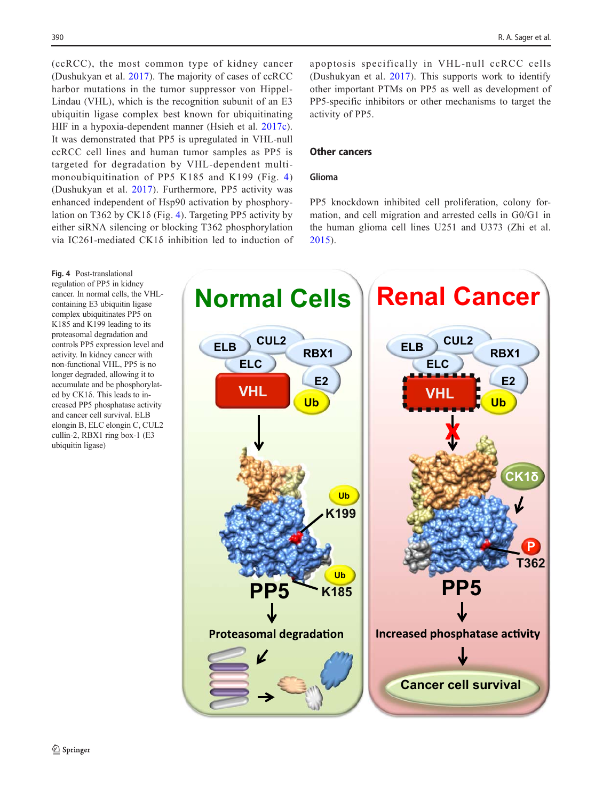(ccRCC), the most common type of kidney cancer (Dushukyan et al. [2017](#page-9-0)). The majority of cases of ccRCC harbor mutations in the tumor suppressor von Hippel-Lindau (VHL), which is the recognition subunit of an E3 ubiquitin ligase complex best known for ubiquitinating HIF in a hypoxia-dependent manner (Hsieh et al. [2017c](#page-10-0)). It was demonstrated that PP5 is upregulated in VHL-null ccRCC cell lines and human tumor samples as PP5 is targeted for degradation by VHL-dependent multimonoubiquitination of PP5 K185 and K199 (Fig. 4) (Dushukyan et al. [2017\)](#page-9-0). Furthermore, PP5 activity was enhanced independent of Hsp90 activation by phosphorylation on T362 by CK1 $\delta$  (Fig. 4). Targeting PP5 activity by either siRNA silencing or blocking T362 phosphorylation via IC261-mediated CK1δ inhibition led to induction of apoptosis specifically in VHL-null ccRCC cells (Dushukyan et al. [2017\)](#page-9-0). This supports work to identify other important PTMs on PP5 as well as development of PP5-specific inhibitors or other mechanisms to target the activity of PP5.

## Other cancers

## Glioma

PP5 knockdown inhibited cell proliferation, colony formation, and cell migration and arrested cells in G0/G1 in the human glioma cell lines U251 and U373 (Zhi et al. [2015](#page-11-0)).



Fig. 4 Post-translational regulation of PP5 in kidney cancer. In normal cells, the VHLcontaining E3 ubiquitin ligase complex ubiquitinates PP5 on K185 and K199 leading to its proteasomal degradation and controls PP5 expression level and activity. In kidney cancer with non-functional VHL, PP5 is no longer degraded, allowing it to accumulate and be phosphorylated by CK1δ. This leads to increased PP5 phosphatase activity and cancer cell survival. ELB elongin B, ELC elongin C, CUL2 cullin-2, RBX1 ring box-1 (E3 ubiquitin ligase)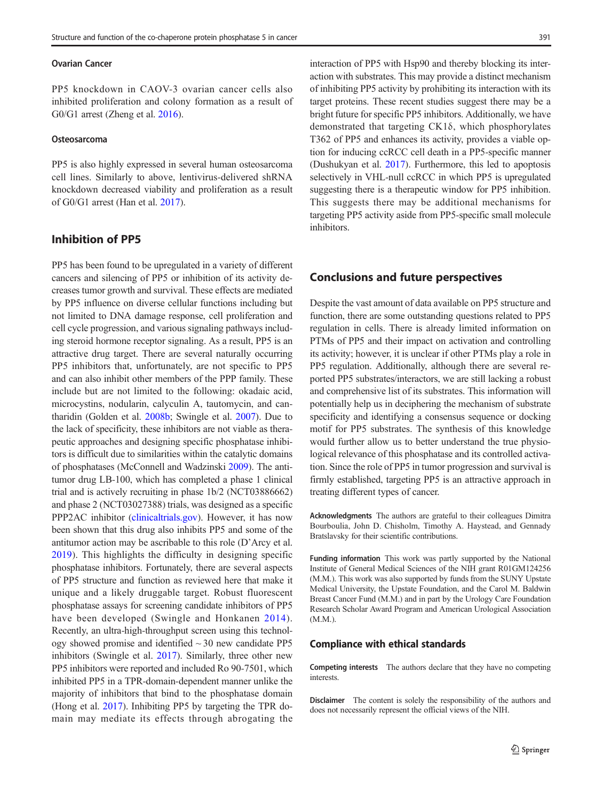#### Ovarian Cancer

PP5 knockdown in CAOV-3 ovarian cancer cells also inhibited proliferation and colony formation as a result of G0/G1 arrest (Zheng et al. [2016\)](#page-11-0).

#### Osteosarcoma

PP5 is also highly expressed in several human osteosarcoma cell lines. Similarly to above, lentivirus-delivered shRNA knockdown decreased viability and proliferation as a result of G0/G1 arrest (Han et al. [2017\)](#page-9-0).

## Inhibition of PP5

PP5 has been found to be upregulated in a variety of different cancers and silencing of PP5 or inhibition of its activity decreases tumor growth and survival. These effects are mediated by PP5 influence on diverse cellular functions including but not limited to DNA damage response, cell proliferation and cell cycle progression, and various signaling pathways including steroid hormone receptor signaling. As a result, PP5 is an attractive drug target. There are several naturally occurring PP5 inhibitors that, unfortunately, are not specific to PP5 and can also inhibit other members of the PPP family. These include but are not limited to the following: okadaic acid, microcystins, nodularin, calyculin A, tautomycin, and cantharidin (Golden et al. [2008b;](#page-9-0) Swingle et al. [2007\)](#page-11-0). Due to the lack of specificity, these inhibitors are not viable as therapeutic approaches and designing specific phosphatase inhibitors is difficult due to similarities within the catalytic domains of phosphatases (McConnell and Wadzinski [2009](#page-10-0)). The antitumor drug LB-100, which has completed a phase 1 clinical trial and is actively recruiting in phase 1b/2 (NCT03886662) and phase 2 (NCT03027388) trials, was designed as a specific PPP2AC inhibitor [\(clinicaltrials.gov](http://clinicaltrials.gov)). However, it has now been shown that this drug also inhibits PP5 and some of the antitumor action may be ascribable to this role (D'Arcy et al. [2019](#page-9-0)). This highlights the difficulty in designing specific phosphatase inhibitors. Fortunately, there are several aspects of PP5 structure and function as reviewed here that make it unique and a likely druggable target. Robust fluorescent phosphatase assays for screening candidate inhibitors of PP5 have been developed (Swingle and Honkanen [2014\)](#page-10-0). Recently, an ultra-high-throughput screen using this technology showed promise and identified  $\sim$  30 new candidate PP5 inhibitors (Swingle et al. [2017\)](#page-11-0). Similarly, three other new PP5 inhibitors were reported and included Ro 90-7501, which inhibited PP5 in a TPR-domain-dependent manner unlike the majority of inhibitors that bind to the phosphatase domain (Hong et al. [2017](#page-9-0)). Inhibiting PP5 by targeting the TPR domain may mediate its effects through abrogating the interaction of PP5 with Hsp90 and thereby blocking its interaction with substrates. This may provide a distinct mechanism of inhibiting PP5 activity by prohibiting its interaction with its target proteins. These recent studies suggest there may be a bright future for specific PP5 inhibitors. Additionally, we have demonstrated that targeting CK1δ, which phosphorylates T362 of PP5 and enhances its activity, provides a viable option for inducing ccRCC cell death in a PP5-specific manner (Dushukyan et al. [2017](#page-9-0)). Furthermore, this led to apoptosis selectively in VHL-null ccRCC in which PP5 is upregulated suggesting there is a therapeutic window for PP5 inhibition. This suggests there may be additional mechanisms for targeting PP5 activity aside from PP5-specific small molecule inhibitors.

## Conclusions and future perspectives

Despite the vast amount of data available on PP5 structure and function, there are some outstanding questions related to PP5 regulation in cells. There is already limited information on PTMs of PP5 and their impact on activation and controlling its activity; however, it is unclear if other PTMs play a role in PP5 regulation. Additionally, although there are several reported PP5 substrates/interactors, we are still lacking a robust and comprehensive list of its substrates. This information will potentially help us in deciphering the mechanism of substrate specificity and identifying a consensus sequence or docking motif for PP5 substrates. The synthesis of this knowledge would further allow us to better understand the true physiological relevance of this phosphatase and its controlled activation. Since the role of PP5 in tumor progression and survival is firmly established, targeting PP5 is an attractive approach in treating different types of cancer.

Acknowledgments The authors are grateful to their colleagues Dimitra Bourboulia, John D. Chisholm, Timothy A. Haystead, and Gennady Bratslavsky for their scientific contributions.

Funding information This work was partly supported by the National Institute of General Medical Sciences of the NIH grant R01GM124256 (M.M.). This work was also supported by funds from the SUNY Upstate Medical University, the Upstate Foundation, and the Carol M. Baldwin Breast Cancer Fund (M.M.) and in part by the Urology Care Foundation Research Scholar Award Program and American Urological Association (M.M.).

#### Compliance with ethical standards

Competing interests The authors declare that they have no competing interests.

Disclaimer The content is solely the responsibility of the authors and does not necessarily represent the official views of the NIH.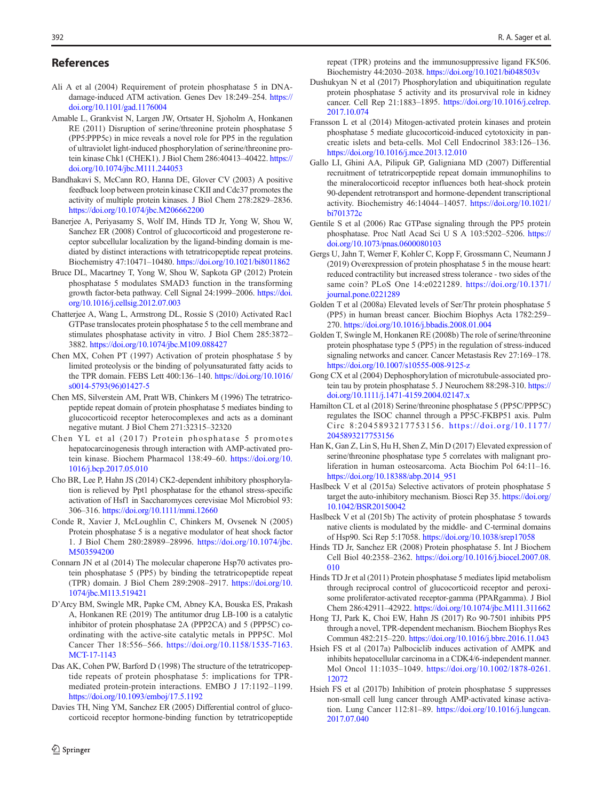## <span id="page-9-0"></span>References

- Ali A et al (2004) Requirement of protein phosphatase 5 in DNAdamage-induced ATM activation. Genes Dev 18:249–254. [https://](https://doi.org/10.1101/gad.1176004) [doi.org/10.1101/gad.1176004](https://doi.org/10.1101/gad.1176004)
- Amable L, Grankvist N, Largen JW, Ortsater H, Sjoholm A, Honkanen RE (2011) Disruption of serine/threonine protein phosphatase 5 (PP5:PPP5c) in mice reveals a novel role for PP5 in the regulation of ultraviolet light-induced phosphorylation of serine/threonine protein kinase Chk1 (CHEK1). J Biol Chem 286:40413–40422. [https://](https://doi.org/10.1074/jbc.M111.244053) [doi.org/10.1074/jbc.M111.244053](https://doi.org/10.1074/jbc.M111.244053)
- Bandhakavi S, McCann RO, Hanna DE, Glover CV (2003) A positive feedback loop between protein kinase CKII and Cdc37 promotes the activity of multiple protein kinases. J Biol Chem 278:2829–2836. <https://doi.org/10.1074/jbc.M206662200>
- Banerjee A, Periyasamy S, Wolf IM, Hinds TD Jr, Yong W, Shou W, Sanchez ER (2008) Control of glucocorticoid and progesterone receptor subcellular localization by the ligand-binding domain is mediated by distinct interactions with tetratricopeptide repeat proteins. Biochemistry 47:10471–10480. <https://doi.org/10.1021/bi8011862>
- Bruce DL, Macartney T, Yong W, Shou W, Sapkota GP (2012) Protein phosphatase 5 modulates SMAD3 function in the transforming growth factor-beta pathway. Cell Signal 24:1999–2006. [https://doi.](https://doi.org/10.1016/j.cellsig.2012.07.003) [org/10.1016/j.cellsig.2012.07.003](https://doi.org/10.1016/j.cellsig.2012.07.003)
- Chatterjee A, Wang L, Armstrong DL, Rossie S (2010) Activated Rac1 GTPase translocates protein phosphatase 5 to the cell membrane and stimulates phosphatase activity in vitro. J Biol Chem 285:3872– 3882. <https://doi.org/10.1074/jbc.M109.088427>
- Chen MX, Cohen PT (1997) Activation of protein phosphatase 5 by limited proteolysis or the binding of polyunsaturated fatty acids to the TPR domain. FEBS Lett 400:136–140. [https://doi.org/10.1016/](https://doi.org/10.1016/s0014-5793(96)01427-5) [s0014-5793\(96\)01427-5](https://doi.org/10.1016/s0014-5793(96)01427-5)
- Chen MS, Silverstein AM, Pratt WB, Chinkers M (1996) The tetratricopeptide repeat domain of protein phosphatase 5 mediates binding to glucocorticoid receptor heterocomplexes and acts as a dominant negative mutant. J Biol Chem 271:32315–32320
- Chen YL et al (2017) Protein phosphatase 5 promotes hepatocarcinogenesis through interaction with AMP-activated protein kinase. Biochem Pharmacol 138:49–60. [https://doi.org/10.](https://doi.org/10.1016/j.bcp.2017.05.010) [1016/j.bcp.2017.05.010](https://doi.org/10.1016/j.bcp.2017.05.010)
- Cho BR, Lee P, Hahn JS (2014) CK2-dependent inhibitory phosphorylation is relieved by Ppt1 phosphatase for the ethanol stress-specific activation of Hsf1 in Saccharomyces cerevisiae Mol Microbiol 93: 306–316. <https://doi.org/10.1111/mmi.12660>
- Conde R, Xavier J, McLoughlin C, Chinkers M, Ovsenek N (2005) Protein phosphatase 5 is a negative modulator of heat shock factor 1. J Biol Chem 280:28989–28996. [https://doi.org/10.1074/jbc.](https://doi.org/10.1074/jbc.M503594200) [M503594200](https://doi.org/10.1074/jbc.M503594200)
- Connarn JN et al (2014) The molecular chaperone Hsp70 activates protein phosphatase 5 (PP5) by binding the tetratricopeptide repeat (TPR) domain. J Biol Chem 289:2908–2917. [https://doi.org/10.](https://doi.org/10.1111/mmi.12660) [1074/jbc.M113.519421](https://doi.org/10.1111/mmi.12660)
- D'Arcy BM, Swingle MR, Papke CM, Abney KA, Bouska ES, Prakash A, Honkanen RE (2019) The antitumor drug LB-100 is a catalytic inhibitor of protein phosphatase 2A (PPP2CA) and 5 (PPP5C) coordinating with the active-site catalytic metals in PPP5C. Mol Cancer Ther 18:556–566. [https://doi.org/10.1158/1535-7163.](https://doi.org/10.1158/1535-7163.MCT-17-1143) [MCT-17-1143](https://doi.org/10.1158/1535-7163.MCT-17-1143)
- Das AK, Cohen PW, Barford D (1998) The structure of the tetratricopeptide repeats of protein phosphatase 5: implications for TPRmediated protein-protein interactions. EMBO J 17:1192–1199. <https://doi.org/10.1093/emboj/17.5.1192>
- Davies TH, Ning YM, Sanchez ER (2005) Differential control of glucocorticoid receptor hormone-binding function by tetratricopeptide

repeat (TPR) proteins and the immunosuppressive ligand FK506. Biochemistry 44:2030–2038. <https://doi.org/10.1021/bi048503v>

- Dushukyan N et al (2017) Phosphorylation and ubiquitination regulate protein phosphatase 5 activity and its prosurvival role in kidney cancer. Cell Rep 21:1883–1895. [https://doi.org/10.1016/j.celrep.](https://doi.org/10.1016/j.celrep.2017.10.074) [2017.10.074](https://doi.org/10.1016/j.celrep.2017.10.074)
- Fransson L et al (2014) Mitogen-activated protein kinases and protein phosphatase 5 mediate glucocorticoid-induced cytotoxicity in pancreatic islets and beta-cells. Mol Cell Endocrinol 383:126–136. <https://doi.org/10.1016/j.mce.2013.12.010>
- Gallo LI, Ghini AA, Pilipuk GP, Galigniana MD (2007) Differential recruitment of tetratricorpeptide repeat domain immunophilins to the mineralocorticoid receptor influences both heat-shock protein 90-dependent retrotransport and hormone-dependent transcriptional activity. Biochemistry 46:14044–14057. [https://doi.org/10.1021/](https://doi.org/10.1021/bi701372c) [bi701372c](https://doi.org/10.1021/bi701372c)
- Gentile S et al (2006) Rac GTPase signaling through the PP5 protein phosphatase. Proc Natl Acad Sci U S A 103:5202–5206. [https://](https://doi.org/10.1073/pnas.0600080103) [doi.org/10.1073/pnas.0600080103](https://doi.org/10.1073/pnas.0600080103)
- Gergs U, Jahn T, Werner F, Kohler C, Kopp F, Grossmann C, Neumann J (2019) Overexpression of protein phosphatase 5 in the mouse heart: reduced contractility but increased stress tolerance - two sides of the same coin? PLoS One 14:e0221289. [https://doi.org/10.1371/](https://doi.org/10.1371/journal.pone.0221289) [journal.pone.0221289](https://doi.org/10.1371/journal.pone.0221289)
- Golden T et al (2008a) Elevated levels of Ser/Thr protein phosphatase 5 (PP5) in human breast cancer. Biochim Biophys Acta 1782:259– 270. <https://doi.org/10.1016/j.bbadis.2008.01.004>
- Golden T, Swingle M, Honkanen RE (2008b) The role of serine/threonine protein phosphatase type 5 (PP5) in the regulation of stress-induced signaling networks and cancer. Cancer Metastasis Rev 27:169–178. <https://doi.org/10.1007/s10555-008-9125-z>
- Gong CX et al (2004) Dephosphorylation of microtubule-associated protein tau by protein phosphatase 5. J Neurochem 88:298-310. [https://](https://doi.org/10.1111/j.1471-4159.2004.02147.x) [doi.org/10.1111/j.1471-4159.2004.02147.x](https://doi.org/10.1111/j.1471-4159.2004.02147.x)
- Hamilton CL et al (2018) Serine/threonine phosphatase 5 (PP5C/PPP5C) regulates the ISOC channel through a PP5C-FKBP51 axis. Pulm Circ 8:2045893217753156. [https://doi.org/10.1177/](https://doi.org/10.1177/2045893217753156) [2045893217753156](https://doi.org/10.1177/2045893217753156)
- Han K, Gan Z, Lin S, Hu H, Shen Z, Min D (2017) Elevated expression of serine/threonine phosphatase type 5 correlates with malignant proliferation in human osteosarcoma. Acta Biochim Pol 64:11–16. [https://doi.org/10.18388/abp.2014\\_951](https://doi.org/10.18388/abp.2014_951)
- Haslbeck V et al (2015a) Selective activators of protein phosphatase 5 target the auto-inhibitory mechanism. Biosci Rep 35. [https://doi.org/](https://doi.org/10.1042/BSR20150042) [10.1042/BSR20150042](https://doi.org/10.1042/BSR20150042)
- Haslbeck V et al (2015b) The activity of protein phosphatase 5 towards native clients is modulated by the middle- and C-terminal domains of Hsp90. Sci Rep 5:17058. <https://doi.org/10.1038/srep17058>
- Hinds TD Jr, Sanchez ER (2008) Protein phosphatase 5. Int J Biochem Cell Biol 40:2358–2362. [https://doi.org/10.1016/j.biocel.2007.08.](https://doi.org/10.1016/j.biocel.2007.08.010) [010](https://doi.org/10.1016/j.biocel.2007.08.010)
- Hinds TD Jr et al (2011) Protein phosphatase 5 mediates lipid metabolism through reciprocal control of glucocorticoid receptor and peroxisome proliferator-activated receptor-gamma (PPARgamma). J Biol Chem 286:42911–42922. <https://doi.org/10.1074/jbc.M111.311662>
- Hong TJ, Park K, Choi EW, Hahn JS (2017) Ro 90-7501 inhibits PP5 through a novel, TPR-dependent mechanism. Biochem Biophys Res Commun 482:215–220. <https://doi.org/10.1016/j.bbrc.2016.11.043>
- Hsieh FS et al (2017a) Palbociclib induces activation of AMPK and inhibits hepatocellular carcinoma in a CDK4/6-independent manner. Mol Oncol 11:1035–1049. [https://doi.org/10.1002/1878-0261.](https://doi.org/10.1002/1878-0261.12072) [12072](https://doi.org/10.1002/1878-0261.12072)
- Hsieh FS et al (2017b) Inhibition of protein phosphatase 5 suppresses non-small cell lung cancer through AMP-activated kinase activation. Lung Cancer 112:81–89. [https://doi.org/10.1016/j.lungcan.](https://doi.org/10.1016/j.lungcan.2017.07.040) [2017.07.040](https://doi.org/10.1016/j.lungcan.2017.07.040)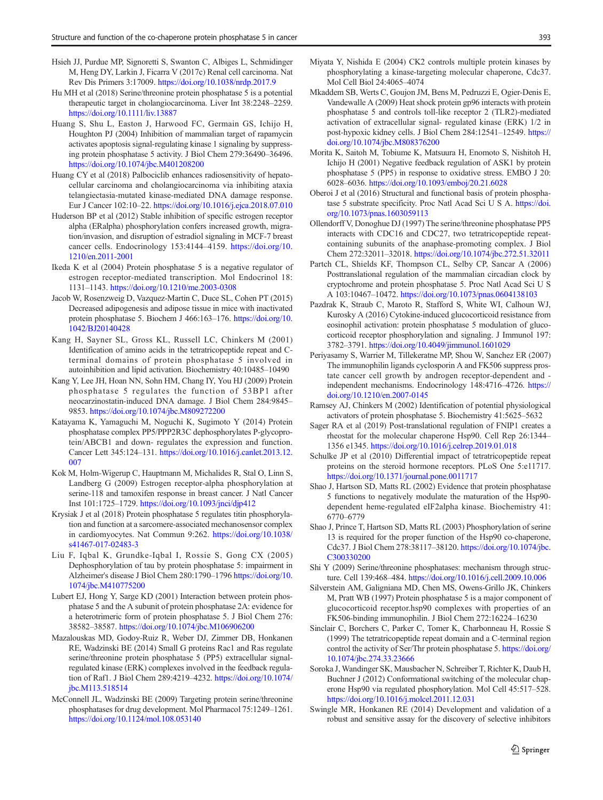- <span id="page-10-0"></span>Hsieh JJ, Purdue MP, Signoretti S, Swanton C, Albiges L, Schmidinger M, Heng DY, Larkin J, Ficarra V (2017c) Renal cell carcinoma. Nat Rev Dis Primers 3:17009. <https://doi.org/10.1038/nrdp.2017.9>
- Hu MH et al (2018) Serine/threonine protein phosphatase 5 is a potential therapeutic target in cholangiocarcinoma. Liver Int 38:2248–2259. <https://doi.org/10.1111/liv.13887>
- Huang S, Shu L, Easton J, Harwood FC, Germain GS, Ichijo H, Houghton PJ (2004) Inhibition of mammalian target of rapamycin activates apoptosis signal-regulating kinase 1 signaling by suppressing protein phosphatase 5 activity. J Biol Chem 279:36490–36496. <https://doi.org/10.1074/jbc.M401208200>
- Huang CY et al (2018) Palbociclib enhances radiosensitivity of hepatocellular carcinoma and cholangiocarcinoma via inhibiting ataxia telangiectasia-mutated kinase-mediated DNA damage response. Eur J Cancer 102:10–22. <https://doi.org/10.1016/j.ejca.2018.07.010>
- Huderson BP et al (2012) Stable inhibition of specific estrogen receptor alpha (ERalpha) phosphorylation confers increased growth, migration/invasion, and disruption of estradiol signaling in MCF-7 breast cancer cells. Endocrinology 153:4144–4159. [https://doi.org/10.](https://doi.org/10.1210/en.2011-2001) [1210/en.2011-2001](https://doi.org/10.1210/en.2011-2001)
- Ikeda K et al (2004) Protein phosphatase 5 is a negative regulator of estrogen receptor-mediated transcription. Mol Endocrinol 18: 1131–1143. <https://doi.org/10.1210/me.2003-0308>
- Jacob W, Rosenzweig D, Vazquez-Martin C, Duce SL, Cohen PT (2015) Decreased adipogenesis and adipose tissue in mice with inactivated protein phosphatase 5. Biochem J 466:163–176. [https://doi.org/10.](https://doi.org/10.1042/BJ20140428) [1042/BJ20140428](https://doi.org/10.1042/BJ20140428)
- Kang H, Sayner SL, Gross KL, Russell LC, Chinkers M (2001) Identification of amino acids in the tetratricopeptide repeat and Cterminal domains of protein phosphatase 5 involved in autoinhibition and lipid activation. Biochemistry 40:10485–10490
- Kang Y, Lee JH, Hoan NN, Sohn HM, Chang IY, You HJ (2009) Protein phosphatase 5 regulates the function of 53BP1 after neocarzinostatin-induced DNA damage. J Biol Chem 284:9845– 9853. <https://doi.org/10.1074/jbc.M809272200>
- Katayama K, Yamaguchi M, Noguchi K, Sugimoto Y (2014) Protein phosphatase complex PP5/PPP2R3C dephosphorylates P-glycoprotein/ABCB1 and down- regulates the expression and function. Cancer Lett 345:124–131. [https://doi.org/10.1016/j.canlet.2013.12.](https://doi.org/10.1016/j.canlet.2013.12.007) [007](https://doi.org/10.1016/j.canlet.2013.12.007)
- Kok M, Holm-Wigerup C, Hauptmann M, Michalides R, Stal O, Linn S, Landberg G (2009) Estrogen receptor-alpha phosphorylation at serine-118 and tamoxifen response in breast cancer. J Natl Cancer Inst 101:1725–1729. <https://doi.org/10.1093/jnci/djp412>
- Krysiak J et al (2018) Protein phosphatase 5 regulates titin phosphorylation and function at a sarcomere-associated mechanosensor complex in cardiomyocytes. Nat Commun 9:262. [https://doi.org/10.1038/](https://doi.org/10.1038/s41467-017-02483-3) [s41467-017-02483-3](https://doi.org/10.1038/s41467-017-02483-3)
- Liu F, Iqbal K, Grundke-Iqbal I, Rossie S, Gong CX (2005) Dephosphorylation of tau by protein phosphatase 5: impairment in Alzheimer's disease J Biol Chem 280:1790–1796 [https://doi.org/10.](https://doi.org/10.1074/jbc.M410775200) [1074/jbc.M410775200](https://doi.org/10.1074/jbc.M410775200)
- Lubert EJ, Hong Y, Sarge KD (2001) Interaction between protein phosphatase 5 and the A subunit of protein phosphatase 2A: evidence for a heterotrimeric form of protein phosphatase 5. J Biol Chem 276: 38582–38587. <https://doi.org/10.1074/jbc.M106906200>
- Mazalouskas MD, Godoy-Ruiz R, Weber DJ, Zimmer DB, Honkanen RE, Wadzinski BE (2014) Small G proteins Rac1 and Ras regulate serine/threonine protein phosphatase 5 (PP5) extracellular signalregulated kinase (ERK) complexes involved in the feedback regulation of Raf1. J Biol Chem 289:4219–4232. [https://doi.org/10.1074/](https://doi.org/10.1074/jbc.M113.518514) [jbc.M113.518514](https://doi.org/10.1074/jbc.M113.518514)
- McConnell JL, Wadzinski BE (2009) Targeting protein serine/threonine phosphatases for drug development. Mol Pharmacol 75:1249–1261. <https://doi.org/10.1124/mol.108.053140>
- Miyata Y, Nishida E (2004) CK2 controls multiple protein kinases by phosphorylating a kinase-targeting molecular chaperone, Cdc37. Mol Cell Biol 24:4065–4074
- Mkaddem SB, Werts C, Goujon JM, Bens M, Pedruzzi E, Ogier-Denis E, Vandewalle A (2009) Heat shock protein gp96 interacts with protein phosphatase 5 and controls toll-like receptor 2 (TLR2)-mediated activation of extracellular signal- regulated kinase (ERK) 1/2 in post-hypoxic kidney cells. J Biol Chem 284:12541–12549. [https://](https://doi.org/10.1074/jbc.M808376200) [doi.org/10.1074/jbc.M808376200](https://doi.org/10.1074/jbc.M808376200)
- Morita K, Saitoh M, Tobiume K, Matsuura H, Enomoto S, Nishitoh H, Ichijo H (2001) Negative feedback regulation of ASK1 by protein phosphatase 5 (PP5) in response to oxidative stress. EMBO J 20: 6028–6036. <https://doi.org/10.1093/emboj/20.21.6028>
- Oberoi J et al (2016) Structural and functional basis of protein phosphatase 5 substrate specificity. Proc Natl Acad Sci U S A. [https://doi.](https://doi.org/10.1073/pnas.1603059113) [org/10.1073/pnas.1603059113](https://doi.org/10.1073/pnas.1603059113)
- Ollendorff V, Donoghue DJ (1997) The serine/threonine phosphatase PP5 interacts with CDC16 and CDC27, two tetratricopeptide repeatcontaining subunits of the anaphase-promoting complex. J Biol Chem 272:32011–32018. <https://doi.org/10.1074/jbc.272.51.32011>
- Partch CL, Shields KF, Thompson CL, Selby CP, Sancar A (2006) Posttranslational regulation of the mammalian circadian clock by cryptochrome and protein phosphatase 5. Proc Natl Acad Sci U S A 103:10467–10472. <https://doi.org/10.1073/pnas.0604138103>
- Pazdrak K, Straub C, Maroto R, Stafford S, White WI, Calhoun WJ, Kurosky A (2016) Cytokine-induced glucocorticoid resistance from eosinophil activation: protein phosphatase 5 modulation of glucocorticoid receptor phosphorylation and signaling. J Immunol 197: 3782–3791. <https://doi.org/10.4049/jimmunol.1601029>
- Periyasamy S, Warrier M, Tillekeratne MP, Shou W, Sanchez ER (2007) The immunophilin ligands cyclosporin A and FK506 suppress prostate cancer cell growth by androgen receptor-dependent and independent mechanisms. Endocrinology 148:4716–4726. [https://](https://doi.org/10.1210/en.2007-0145) [doi.org/10.1210/en.2007-0145](https://doi.org/10.1210/en.2007-0145)
- Ramsey AJ, Chinkers M (2002) Identification of potential physiological activators of protein phosphatase 5. Biochemistry 41:5625–5632
- Sager RA et al (2019) Post-translational regulation of FNIP1 creates a rheostat for the molecular chaperone Hsp90. Cell Rep 26:1344– 1356 e1345. <https://doi.org/10.1016/j.celrep.2019.01.018>
- Schulke JP et al (2010) Differential impact of tetratricopeptide repeat proteins on the steroid hormone receptors. PLoS One 5:e11717. <https://doi.org/10.1371/journal.pone.0011717>
- Shao J, Hartson SD, Matts RL (2002) Evidence that protein phosphatase 5 functions to negatively modulate the maturation of the Hsp90 dependent heme-regulated eIF2alpha kinase. Biochemistry 41: 6770–6779
- Shao J, Prince T, Hartson SD, Matts RL (2003) Phosphorylation of serine 13 is required for the proper function of the Hsp90 co-chaperone, Cdc37. J Biol Chem 278:38117–38120. [https://doi.org/10.1074/jbc.](https://doi.org/10.1074/jbc.C300330200) [C300330200](https://doi.org/10.1074/jbc.C300330200)
- Shi Y (2009) Serine/threonine phosphatases: mechanism through structure. Cell 139:468–484. <https://doi.org/10.1016/j.cell.2009.10.006>
- Silverstein AM, Galigniana MD, Chen MS, Owens-Grillo JK, Chinkers M, Pratt WB (1997) Protein phosphatase 5 is a major component of glucocorticoid receptor.hsp90 complexes with properties of an FK506-binding immunophilin. J Biol Chem 272:16224–16230
- Sinclair C, Borchers C, Parker C, Tomer K, Charbonneau H, Rossie S (1999) The tetratricopeptide repeat domain and a C-terminal region control the activity of Ser/Thr protein phosphatase 5. [https://doi.org/](https://doi.org/10.1074/jbc.274.33.23666) [10.1074/jbc.274.33.23666](https://doi.org/10.1074/jbc.274.33.23666)
- Soroka J, Wandinger SK, Mausbacher N, Schreiber T, Richter K, Daub H, Buchner J (2012) Conformational switching of the molecular chaperone Hsp90 via regulated phosphorylation. Mol Cell 45:517–528. <https://doi.org/10.1016/j.molcel.2011.12.031>
- Swingle MR, Honkanen RE (2014) Development and validation of a robust and sensitive assay for the discovery of selective inhibitors